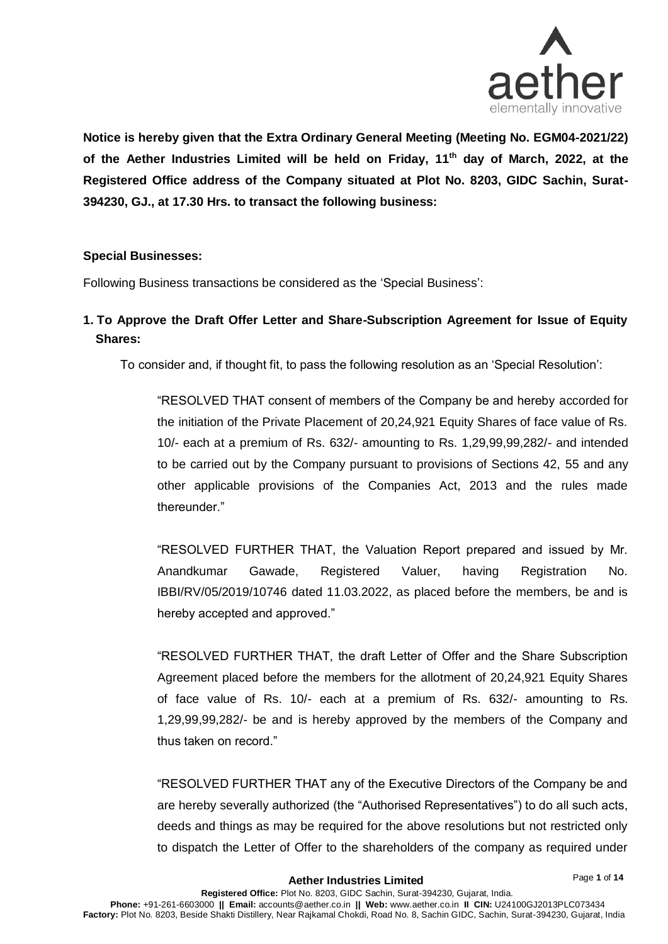

**Notice is hereby given that the Extra Ordinary General Meeting (Meeting No. EGM04-2021/22) of the Aether Industries Limited will be held on Friday, 11th day of March, 2022, at the Registered Office address of the Company situated at Plot No. 8203, GIDC Sachin, Surat-394230, GJ., at 17.30 Hrs. to transact the following business:**

## **Special Businesses:**

Following Business transactions be considered as the 'Special Business':

# **1. To Approve the Draft Offer Letter and Share-Subscription Agreement for Issue of Equity Shares:**

To consider and, if thought fit, to pass the following resolution as an 'Special Resolution':

"RESOLVED THAT consent of members of the Company be and hereby accorded for the initiation of the Private Placement of 20,24,921 Equity Shares of face value of Rs. 10/- each at a premium of Rs. 632/- amounting to Rs. 1,29,99,99,282/- and intended to be carried out by the Company pursuant to provisions of Sections 42, 55 and any other applicable provisions of the Companies Act, 2013 and the rules made thereunder."

"RESOLVED FURTHER THAT, the Valuation Report prepared and issued by Mr. Anandkumar Gawade, Registered Valuer, having Registration No. IBBI/RV/05/2019/10746 dated 11.03.2022, as placed before the members, be and is hereby accepted and approved."

"RESOLVED FURTHER THAT, the draft Letter of Offer and the Share Subscription Agreement placed before the members for the allotment of 20,24,921 Equity Shares of face value of Rs. 10/- each at a premium of Rs. 632/- amounting to Rs. 1,29,99,99,282/- be and is hereby approved by the members of the Company and thus taken on record."

"RESOLVED FURTHER THAT any of the Executive Directors of the Company be and are hereby severally authorized (the "Authorised Representatives") to do all such acts, deeds and things as may be required for the above resolutions but not restricted only to dispatch the Letter of Offer to the shareholders of the company as required under

Page **1** of **14**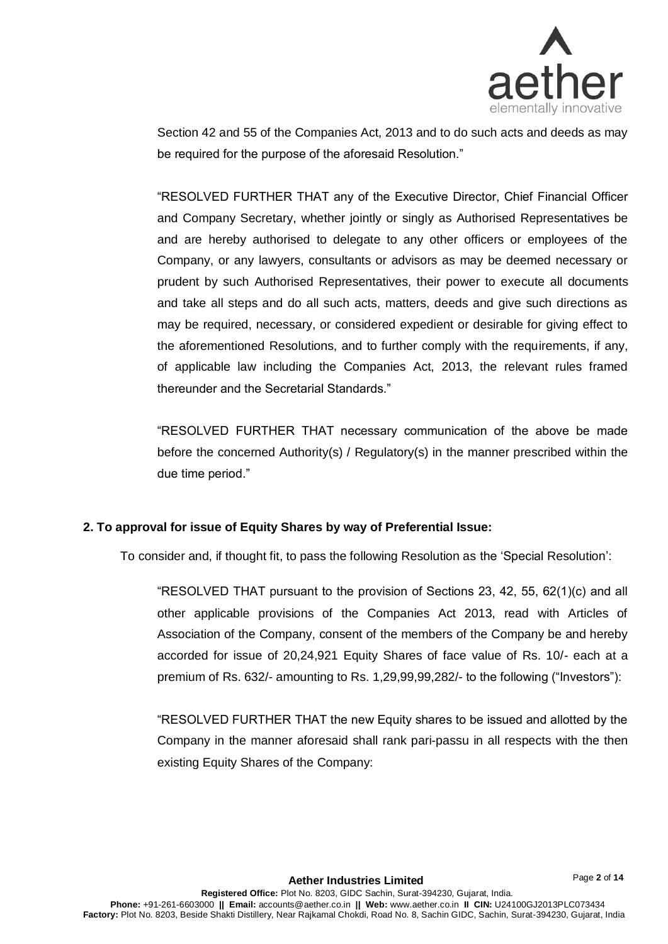

Section 42 and 55 of the Companies Act, 2013 and to do such acts and deeds as may be required for the purpose of the aforesaid Resolution."

"RESOLVED FURTHER THAT any of the Executive Director, Chief Financial Officer and Company Secretary, whether jointly or singly as Authorised Representatives be and are hereby authorised to delegate to any other officers or employees of the Company, or any lawyers, consultants or advisors as may be deemed necessary or prudent by such Authorised Representatives, their power to execute all documents and take all steps and do all such acts, matters, deeds and give such directions as may be required, necessary, or considered expedient or desirable for giving effect to the aforementioned Resolutions, and to further comply with the requirements, if any, of applicable law including the Companies Act, 2013, the relevant rules framed thereunder and the Secretarial Standards."

"RESOLVED FURTHER THAT necessary communication of the above be made before the concerned Authority(s) / Regulatory(s) in the manner prescribed within the due time period."

## **2. To approval for issue of Equity Shares by way of Preferential Issue:**

To consider and, if thought fit, to pass the following Resolution as the 'Special Resolution':

"RESOLVED THAT pursuant to the provision of Sections 23, 42, 55, 62(1)(c) and all other applicable provisions of the Companies Act 2013, read with Articles of Association of the Company, consent of the members of the Company be and hereby accorded for issue of 20,24,921 Equity Shares of face value of Rs. 10/- each at a premium of Rs. 632/- amounting to Rs. 1,29,99,99,282/- to the following ("Investors"):

"RESOLVED FURTHER THAT the new Equity shares to be issued and allotted by the Company in the manner aforesaid shall rank pari-passu in all respects with the then existing Equity Shares of the Company: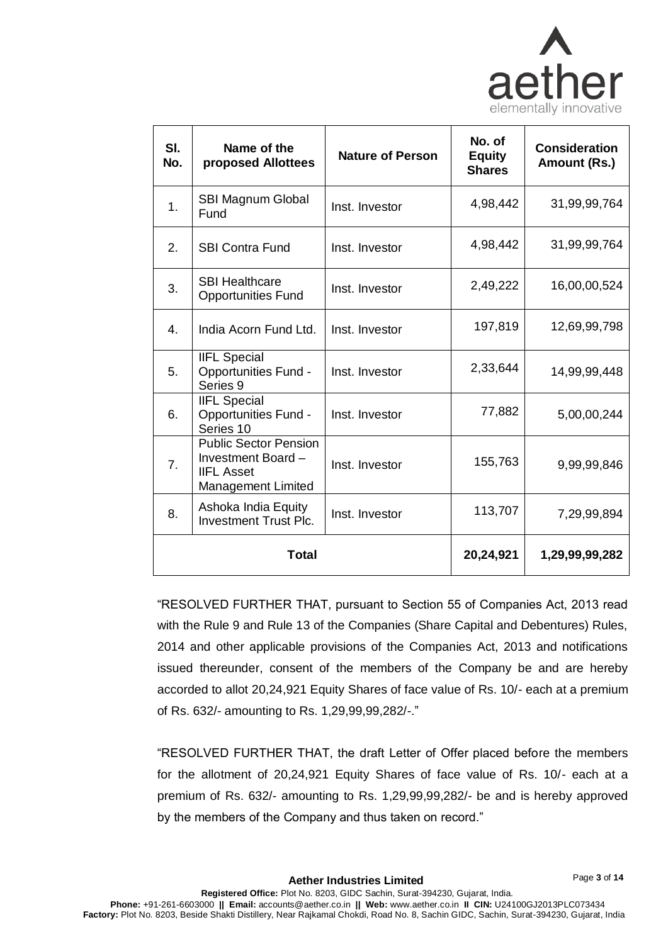

| SI.<br>No. | Name of the<br>proposed Allottees                                                                    | <b>Nature of Person</b> | No. of<br><b>Equity</b><br><b>Shares</b> | <b>Consideration</b><br>Amount (Rs.) |
|------------|------------------------------------------------------------------------------------------------------|-------------------------|------------------------------------------|--------------------------------------|
| 1.         | SBI Magnum Global<br>Fund                                                                            | Inst. Investor          | 4,98,442                                 | 31,99,99,764                         |
| 2.         | <b>SBI Contra Fund</b>                                                                               | Inst. Investor          | 4,98,442                                 | 31,99,99,764                         |
| 3.         | <b>SBI Healthcare</b><br><b>Opportunities Fund</b>                                                   | Inst. Investor          | 2,49,222                                 | 16,00,00,524                         |
| 4.         | India Acorn Fund Ltd.                                                                                | Inst. Investor          | 197,819                                  | 12,69,99,798                         |
| 5.         | <b>IIFL Special</b><br><b>Opportunities Fund -</b><br>Series 9                                       | Inst. Investor          | 2,33,644                                 | 14,99,99,448                         |
| 6.         | <b>IIFL Special</b><br><b>Opportunities Fund -</b><br>Series 10                                      | Inst. Investor          | 77,882                                   | 5,00,00,244                          |
| 7.         | <b>Public Sector Pension</b><br>Investment Board -<br><b>IIFL Asset</b><br><b>Management Limited</b> | Inst. Investor          | 155,763                                  | 9,99,99,846                          |
| 8.         | Ashoka India Equity<br><b>Investment Trust Plc.</b>                                                  | Inst. Investor          | 113,707                                  | 7,29,99,894                          |
| Total      |                                                                                                      |                         | 20,24,921                                | 1,29,99,99,282                       |

"RESOLVED FURTHER THAT, pursuant to Section 55 of Companies Act, 2013 read with the Rule 9 and Rule 13 of the Companies (Share Capital and Debentures) Rules, 2014 and other applicable provisions of the Companies Act, 2013 and notifications issued thereunder, consent of the members of the Company be and are hereby accorded to allot 20,24,921 Equity Shares of face value of Rs. 10/- each at a premium of Rs. 632/- amounting to Rs. 1,29,99,99,282/-."

"RESOLVED FURTHER THAT, the draft Letter of Offer placed before the members for the allotment of 20,24,921 Equity Shares of face value of Rs. 10/- each at a premium of Rs. 632/- amounting to Rs. 1,29,99,99,282/- be and is hereby approved by the members of the Company and thus taken on record."

Page **3** of **14**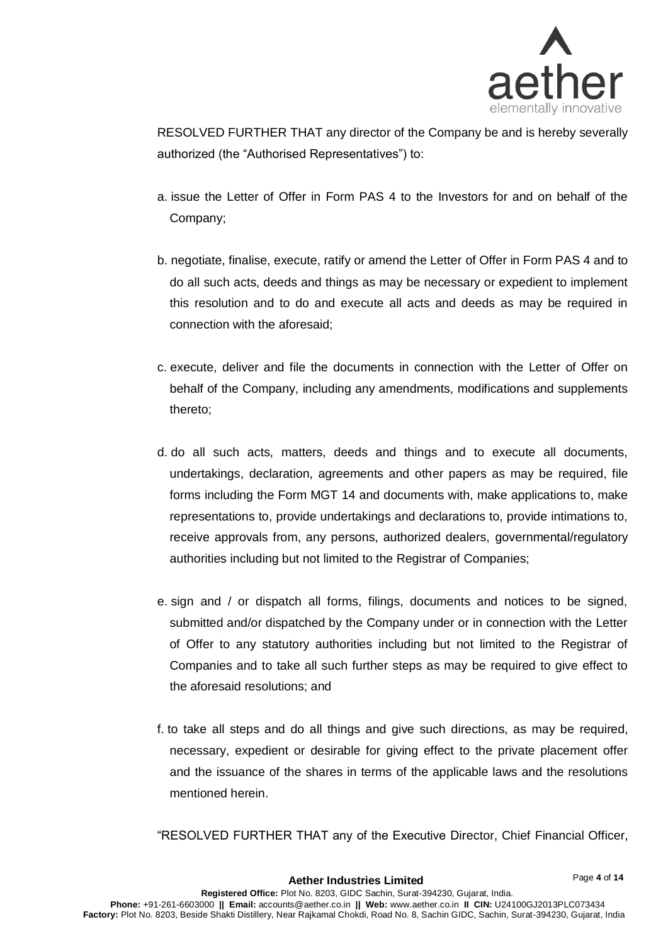

Page **4** of **14**

RESOLVED FURTHER THAT any director of the Company be and is hereby severally authorized (the "Authorised Representatives") to:

- a. issue the Letter of Offer in Form PAS 4 to the Investors for and on behalf of the Company;
- b. negotiate, finalise, execute, ratify or amend the Letter of Offer in Form PAS 4 and to do all such acts, deeds and things as may be necessary or expedient to implement this resolution and to do and execute all acts and deeds as may be required in connection with the aforesaid;
- c. execute, deliver and file the documents in connection with the Letter of Offer on behalf of the Company, including any amendments, modifications and supplements thereto;
- d. do all such acts, matters, deeds and things and to execute all documents, undertakings, declaration, agreements and other papers as may be required, file forms including the Form MGT 14 and documents with, make applications to, make representations to, provide undertakings and declarations to, provide intimations to, receive approvals from, any persons, authorized dealers, governmental/regulatory authorities including but not limited to the Registrar of Companies;
- e. sign and / or dispatch all forms, filings, documents and notices to be signed, submitted and/or dispatched by the Company under or in connection with the Letter of Offer to any statutory authorities including but not limited to the Registrar of Companies and to take all such further steps as may be required to give effect to the aforesaid resolutions; and
- f. to take all steps and do all things and give such directions, as may be required, necessary, expedient or desirable for giving effect to the private placement offer and the issuance of the shares in terms of the applicable laws and the resolutions mentioned herein.

"RESOLVED FURTHER THAT any of the Executive Director, Chief Financial Officer,

**Aether Industries Limited**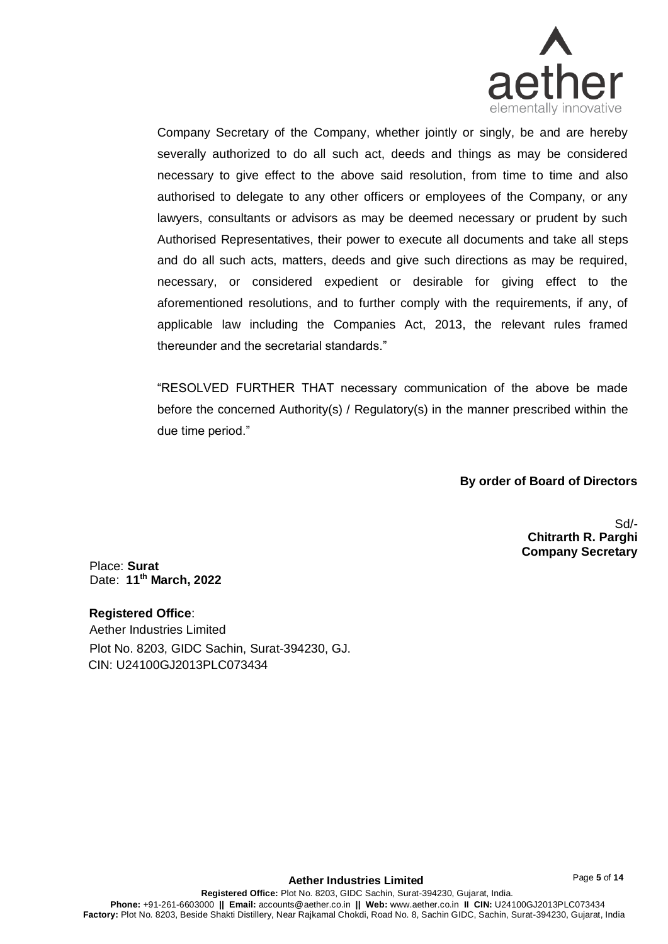

Company Secretary of the Company, whether jointly or singly, be and are hereby severally authorized to do all such act, deeds and things as may be considered necessary to give effect to the above said resolution, from time to time and also authorised to delegate to any other officers or employees of the Company, or any lawyers, consultants or advisors as may be deemed necessary or prudent by such Authorised Representatives, their power to execute all documents and take all steps and do all such acts, matters, deeds and give such directions as may be required, necessary, or considered expedient or desirable for giving effect to the aforementioned resolutions, and to further comply with the requirements, if any, of applicable law including the Companies Act, 2013, the relevant rules framed thereunder and the secretarial standards."

"RESOLVED FURTHER THAT necessary communication of the above be made before the concerned Authority(s) / Regulatory(s) in the manner prescribed within the due time period."

 **By order of Board of Directors**

Sd/- **Chitrarth R. Parghi Company Secretary**

Place: **Surat**  Date: **11th March, 2022**

### **Registered Office**:

Aether Industries Limited Plot No. 8203, GIDC Sachin, Surat-394230, GJ. CIN: U24100GJ2013PLC073434

Page **5** of **14**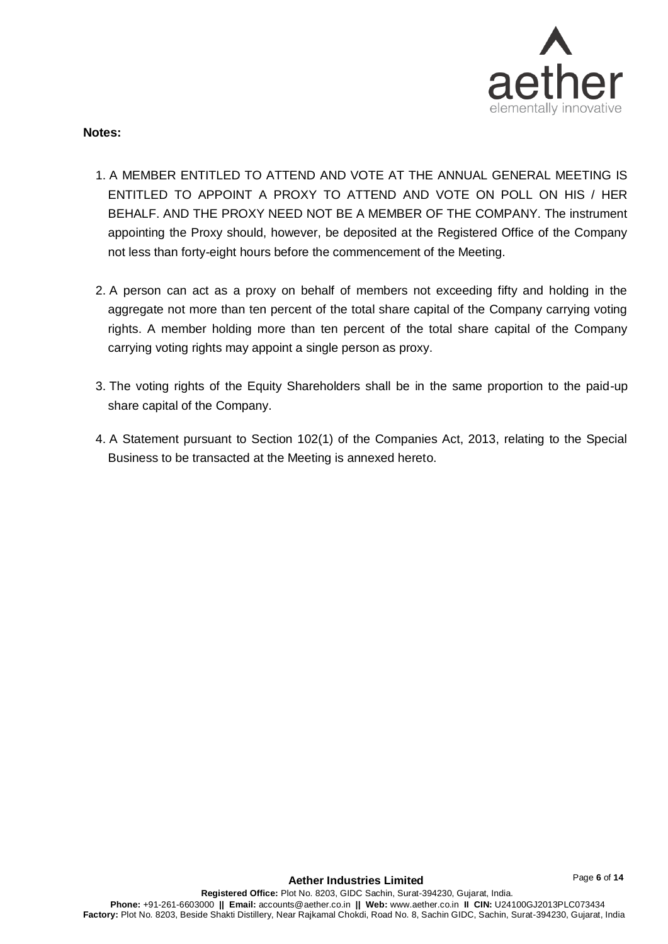

### **Notes:**

- 1. A MEMBER ENTITLED TO ATTEND AND VOTE AT THE ANNUAL GENERAL MEETING IS ENTITLED TO APPOINT A PROXY TO ATTEND AND VOTE ON POLL ON HIS / HER BEHALF. AND THE PROXY NEED NOT BE A MEMBER OF THE COMPANY. The instrument appointing the Proxy should, however, be deposited at the Registered Office of the Company not less than forty-eight hours before the commencement of the Meeting.
- 2. A person can act as a proxy on behalf of members not exceeding fifty and holding in the aggregate not more than ten percent of the total share capital of the Company carrying voting rights. A member holding more than ten percent of the total share capital of the Company carrying voting rights may appoint a single person as proxy.
- 3. The voting rights of the Equity Shareholders shall be in the same proportion to the paid-up share capital of the Company.
- 4. A Statement pursuant to Section 102(1) of the Companies Act, 2013, relating to the Special Business to be transacted at the Meeting is annexed hereto.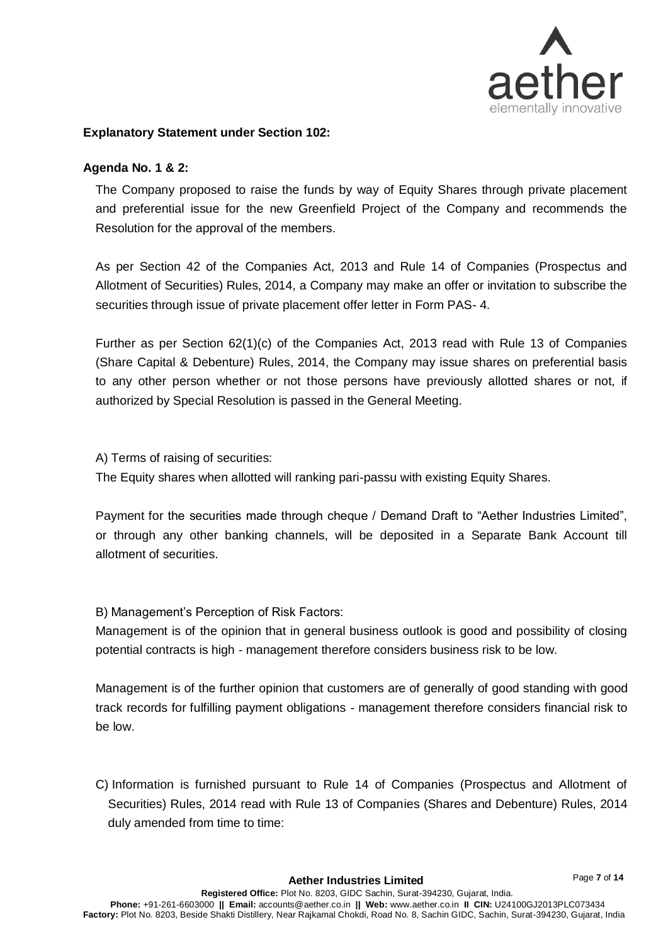

## **Explanatory Statement under Section 102:**

## **Agenda No. 1 & 2:**

The Company proposed to raise the funds by way of Equity Shares through private placement and preferential issue for the new Greenfield Project of the Company and recommends the Resolution for the approval of the members.

As per Section 42 of the Companies Act, 2013 and Rule 14 of Companies (Prospectus and Allotment of Securities) Rules, 2014, a Company may make an offer or invitation to subscribe the securities through issue of private placement offer letter in Form PAS- 4.

Further as per Section 62(1)(c) of the Companies Act, 2013 read with Rule 13 of Companies (Share Capital & Debenture) Rules, 2014, the Company may issue shares on preferential basis to any other person whether or not those persons have previously allotted shares or not, if authorized by Special Resolution is passed in the General Meeting.

A) Terms of raising of securities:

The Equity shares when allotted will ranking pari-passu with existing Equity Shares.

Payment for the securities made through cheque / Demand Draft to "Aether Industries Limited", or through any other banking channels, will be deposited in a Separate Bank Account till allotment of securities.

B) Management's Perception of Risk Factors:

Management is of the opinion that in general business outlook is good and possibility of closing potential contracts is high - management therefore considers business risk to be low.

Management is of the further opinion that customers are of generally of good standing with good track records for fulfilling payment obligations - management therefore considers financial risk to be low.

C) Information is furnished pursuant to Rule 14 of Companies (Prospectus and Allotment of Securities) Rules, 2014 read with Rule 13 of Companies (Shares and Debenture) Rules, 2014 duly amended from time to time: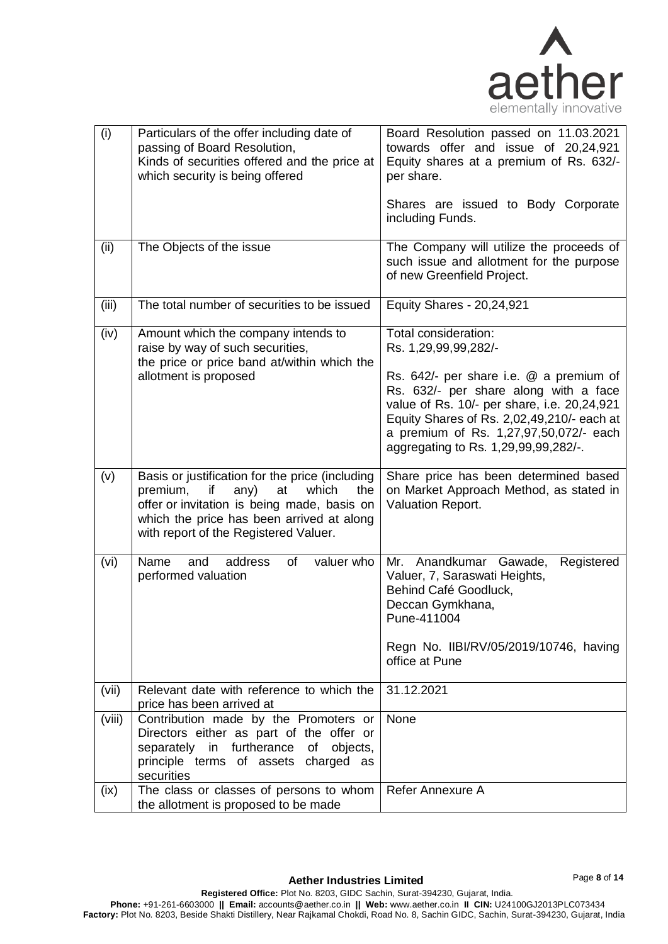

| (i)    | Particulars of the offer including date of<br>passing of Board Resolution,<br>Kinds of securities offered and the price at<br>which security is being offered                                                                        | Board Resolution passed on 11.03.2021<br>towards offer and issue of 20,24,921<br>Equity shares at a premium of Rs. 632/-<br>per share.<br>Shares are issued to Body Corporate<br>including Funds.                                                                                                               |
|--------|--------------------------------------------------------------------------------------------------------------------------------------------------------------------------------------------------------------------------------------|-----------------------------------------------------------------------------------------------------------------------------------------------------------------------------------------------------------------------------------------------------------------------------------------------------------------|
| (ii)   | The Objects of the issue                                                                                                                                                                                                             | The Company will utilize the proceeds of                                                                                                                                                                                                                                                                        |
|        |                                                                                                                                                                                                                                      | such issue and allotment for the purpose<br>of new Greenfield Project.                                                                                                                                                                                                                                          |
| (iii)  | The total number of securities to be issued                                                                                                                                                                                          | Equity Shares - 20,24,921                                                                                                                                                                                                                                                                                       |
| (iv)   | Amount which the company intends to<br>raise by way of such securities,<br>the price or price band at/within which the<br>allotment is proposed                                                                                      | Total consideration:<br>Rs. 1,29,99,99,282/-<br>Rs. 642/- per share i.e. @ a premium of<br>Rs. 632/- per share along with a face<br>value of Rs. 10/- per share, i.e. 20,24,921<br>Equity Shares of Rs. 2,02,49,210/- each at<br>a premium of Rs. 1,27,97,50,072/- each<br>aggregating to Rs. 1,29,99,99,282/-. |
| (v)    | Basis or justification for the price (including<br>premium,<br>if<br>any)<br>which<br>at<br>the<br>offer or invitation is being made, basis on<br>which the price has been arrived at along<br>with report of the Registered Valuer. | Share price has been determined based<br>on Market Approach Method, as stated in<br>Valuation Report.                                                                                                                                                                                                           |
| (vi)   | Name<br>address<br>of<br>valuer who<br>and<br>performed valuation                                                                                                                                                                    | Anandkumar Gawade,<br>Registered<br>Mr.<br>Valuer, 7, Saraswati Heights,<br>Behind Café Goodluck,<br>Deccan Gymkhana,<br>Pune-411004<br>Regn No. IIBI/RV/05/2019/10746, having<br>office at Pune                                                                                                                |
| (vii)  | Relevant date with reference to which the<br>price has been arrived at                                                                                                                                                               | 31.12.2021                                                                                                                                                                                                                                                                                                      |
| (viii) | Contribution made by the Promoters or<br>Directors either as part of the offer or<br>separately in furtherance of<br>objects,<br>principle terms of assets charged as<br>securities                                                  | None                                                                                                                                                                                                                                                                                                            |
| (ix)   | The class or classes of persons to whom<br>the allotment is proposed to be made                                                                                                                                                      | Refer Annexure A                                                                                                                                                                                                                                                                                                |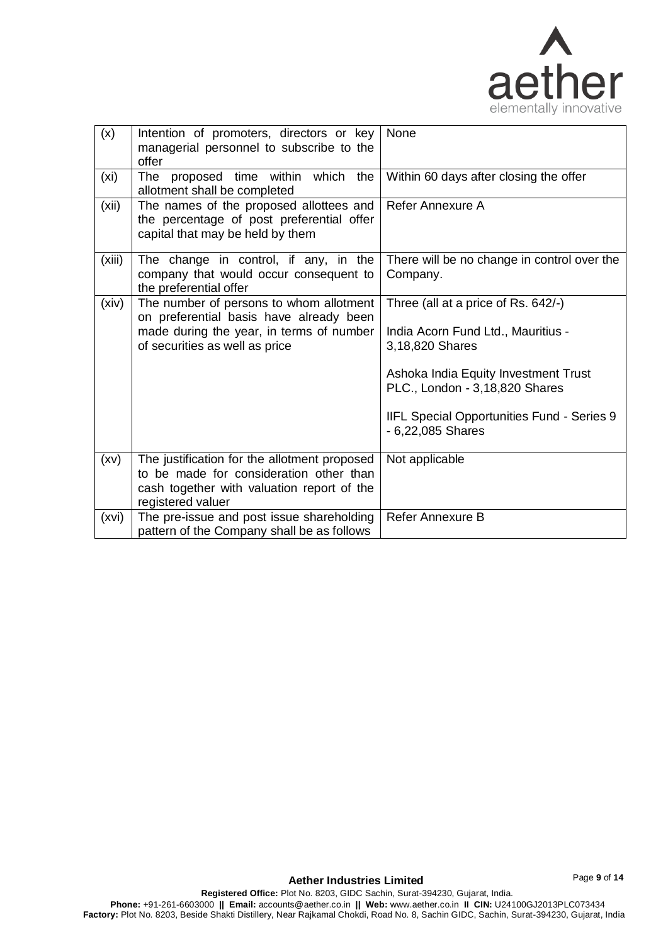

Page **9** of **14**

| (x)    | Intention of promoters, directors or key<br>managerial personnel to subscribe to the<br>offer                                                                    | None                                                                                                                                                                                                                                      |
|--------|------------------------------------------------------------------------------------------------------------------------------------------------------------------|-------------------------------------------------------------------------------------------------------------------------------------------------------------------------------------------------------------------------------------------|
| (xi)   | The<br>proposed time within which<br>the<br>allotment shall be completed                                                                                         | Within 60 days after closing the offer                                                                                                                                                                                                    |
| (xii)  | The names of the proposed allottees and<br>the percentage of post preferential offer<br>capital that may be held by them                                         | Refer Annexure A                                                                                                                                                                                                                          |
| (xiii) | The change in control, if any, in the<br>company that would occur consequent to<br>the preferential offer                                                        | There will be no change in control over the<br>Company.                                                                                                                                                                                   |
| (xiv)  | The number of persons to whom allotment<br>on preferential basis have already been<br>made during the year, in terms of number<br>of securities as well as price | Three (all at a price of Rs. 642/-)<br>India Acorn Fund Ltd., Mauritius -<br>3,18,820 Shares<br>Ashoka India Equity Investment Trust<br>PLC., London - 3,18,820 Shares<br>IIFL Special Opportunities Fund - Series 9<br>- 6,22,085 Shares |
| (xv)   | The justification for the allotment proposed<br>to be made for consideration other than<br>cash together with valuation report of the<br>registered valuer       | Not applicable                                                                                                                                                                                                                            |
| (xvi)  | The pre-issue and post issue shareholding<br>pattern of the Company shall be as follows                                                                          | Refer Annexure B                                                                                                                                                                                                                          |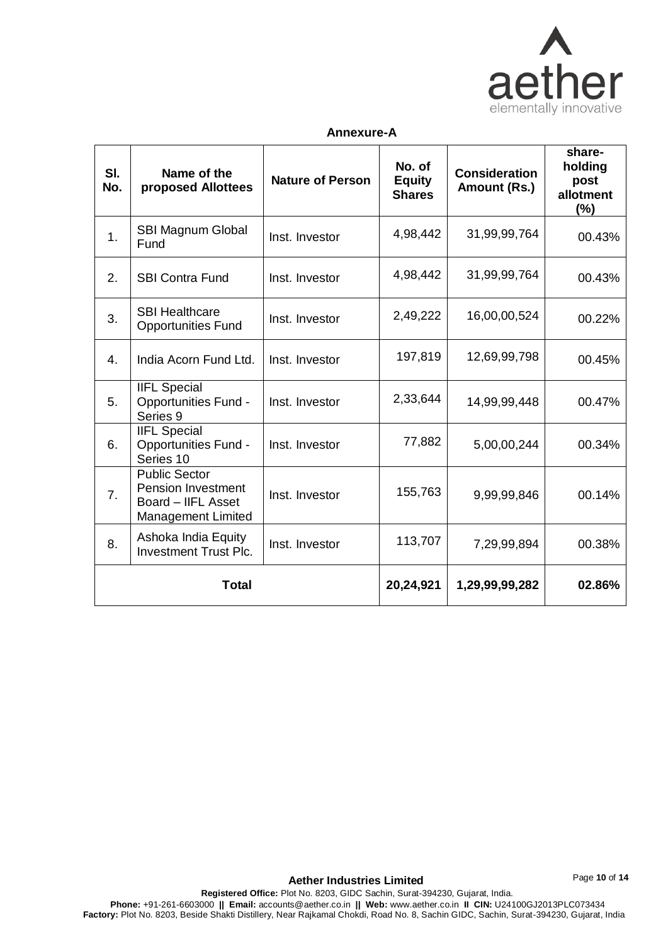

## **Annexure-A**

| SI.<br>No.     | Name of the<br>proposed Allottees                                                                    | <b>Nature of Person</b> | No. of<br><b>Equity</b><br><b>Shares</b> | <b>Consideration</b><br>Amount (Rs.) | share-<br>holding<br>post<br>allotment<br>$(\%)$ |
|----------------|------------------------------------------------------------------------------------------------------|-------------------------|------------------------------------------|--------------------------------------|--------------------------------------------------|
| 1 <sub>1</sub> | SBI Magnum Global<br>Fund                                                                            | Inst. Investor          | 4,98,442                                 | 31,99,99,764                         | 00.43%                                           |
| 2.             | <b>SBI Contra Fund</b>                                                                               | Inst. Investor          | 4,98,442                                 | 31,99,99,764                         | 00.43%                                           |
| 3.             | <b>SBI Healthcare</b><br><b>Opportunities Fund</b>                                                   | Inst. Investor          | 2,49,222                                 | 16,00,00,524                         | 00.22%                                           |
| 4.             | India Acorn Fund Ltd.                                                                                | Inst. Investor          | 197,819                                  | 12,69,99,798                         | 00.45%                                           |
| 5.             | <b>IIFL Special</b><br><b>Opportunities Fund -</b><br>Series 9                                       | Inst. Investor          | 2,33,644                                 | 14,99,99,448                         | 00.47%                                           |
| 6.             | <b>IIFL Special</b><br><b>Opportunities Fund -</b><br>Series 10                                      | Inst. Investor          | 77,882                                   | 5,00,00,244                          | 00.34%                                           |
| 7 <sub>1</sub> | <b>Public Sector</b><br><b>Pension Investment</b><br>Board - IIFL Asset<br><b>Management Limited</b> | Inst. Investor          | 155,763                                  | 9,99,99,846                          | 00.14%                                           |
| 8.             | Ashoka India Equity<br><b>Investment Trust Plc.</b>                                                  | Inst. Investor          | 113,707                                  | 7,29,99,894                          | 00.38%                                           |
|                | <b>Total</b>                                                                                         |                         | 20,24,921                                | 1,29,99,99,282                       | 02.86%                                           |

Page **10** of **14**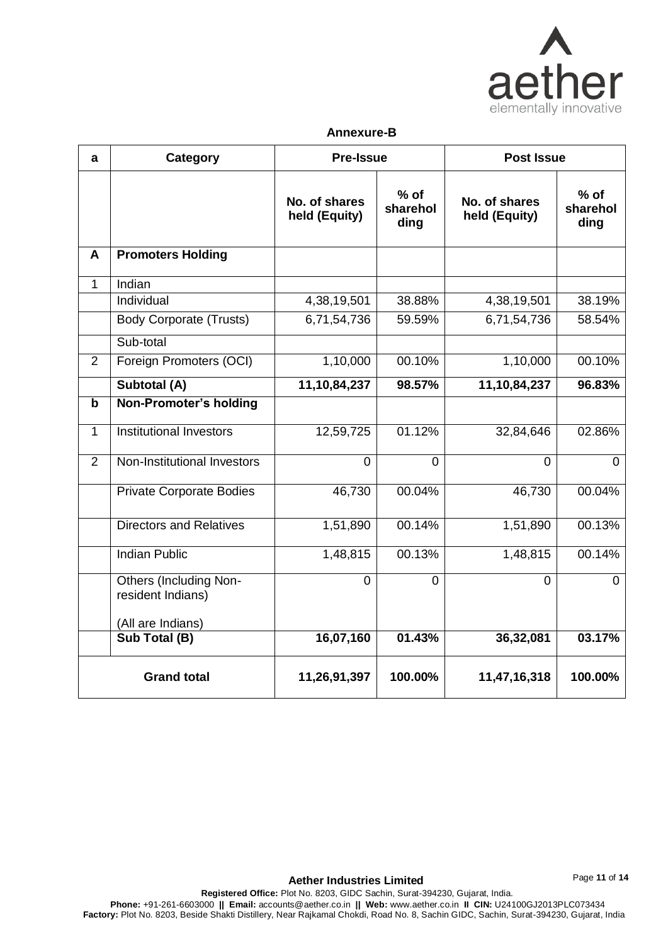

#### **Annexure-B**

| a              | Category                                           | <b>Pre-Issue</b>               |                            | <b>Post Issue</b>              |                            |
|----------------|----------------------------------------------------|--------------------------------|----------------------------|--------------------------------|----------------------------|
|                |                                                    | No. of shares<br>held (Equity) | $%$ of<br>sharehol<br>ding | No. of shares<br>held (Equity) | $%$ of<br>sharehol<br>ding |
| A              | <b>Promoters Holding</b>                           |                                |                            |                                |                            |
| $\mathbf{1}$   | Indian                                             |                                |                            |                                |                            |
|                | Individual                                         | 4,38,19,501                    | 38.88%                     | 4,38,19,501                    | 38.19%                     |
|                | <b>Body Corporate (Trusts)</b>                     | 6,71,54,736                    | 59.59%                     | 6,71,54,736                    | 58.54%                     |
|                | Sub-total                                          |                                |                            |                                |                            |
| $\overline{2}$ | Foreign Promoters (OCI)                            | 1,10,000                       | 00.10%                     | 1,10,000                       | 00.10%                     |
|                | Subtotal (A)                                       | 11,10,84,237                   | 98.57%                     | 11,10,84,237                   | 96.83%                     |
| $\mathbf b$    | Non-Promoter's holding                             |                                |                            |                                |                            |
| $\mathbf{1}$   | Institutional Investors                            | 12,59,725                      | 01.12%                     | 32,84,646                      | 02.86%                     |
| $\overline{2}$ | Non-Institutional Investors                        | $\overline{0}$                 | $\Omega$                   | 0                              | 0                          |
|                | <b>Private Corporate Bodies</b>                    | 46,730                         | 00.04%                     | 46,730                         | 00.04%                     |
|                | <b>Directors and Relatives</b>                     | $\overline{1,51,890}$          | 00.14%                     | 1,51,890                       | 00.13%                     |
|                | <b>Indian Public</b>                               | 1,48,815                       | 00.13%                     | 1,48,815                       | 00.14%                     |
|                | <b>Others (Including Non-</b><br>resident Indians) | 0                              | $\Omega$                   | 0                              | 0                          |
|                | (All are Indians)                                  |                                |                            |                                |                            |
|                | Sub Total (B)                                      | 16,07,160                      | 01.43%                     | 36,32,081                      | 03.17%                     |
|                | <b>Grand total</b>                                 | 11,26,91,397                   | 100.00%                    | 11,47,16,318                   | 100.00%                    |

**Aether Industries Limited**

Page **11** of **14**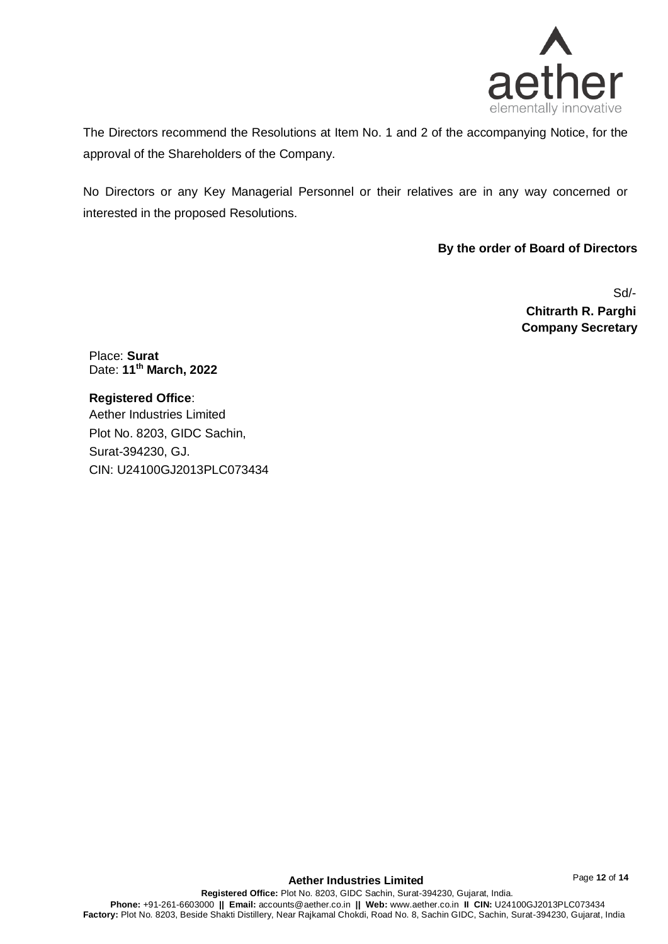

The Directors recommend the Resolutions at Item No. 1 and 2 of the accompanying Notice, for the approval of the Shareholders of the Company.

No Directors or any Key Managerial Personnel or their relatives are in any way concerned or interested in the proposed Resolutions.

**By the order of Board of Directors**

Sd/- **Chitrarth R. Parghi Company Secretary**

Place: **Surat** Date: **11th March, 2022**

**Registered Office**: Aether Industries Limited Plot No. 8203, GIDC Sachin, Surat-394230, GJ. CIN: U24100GJ2013PLC073434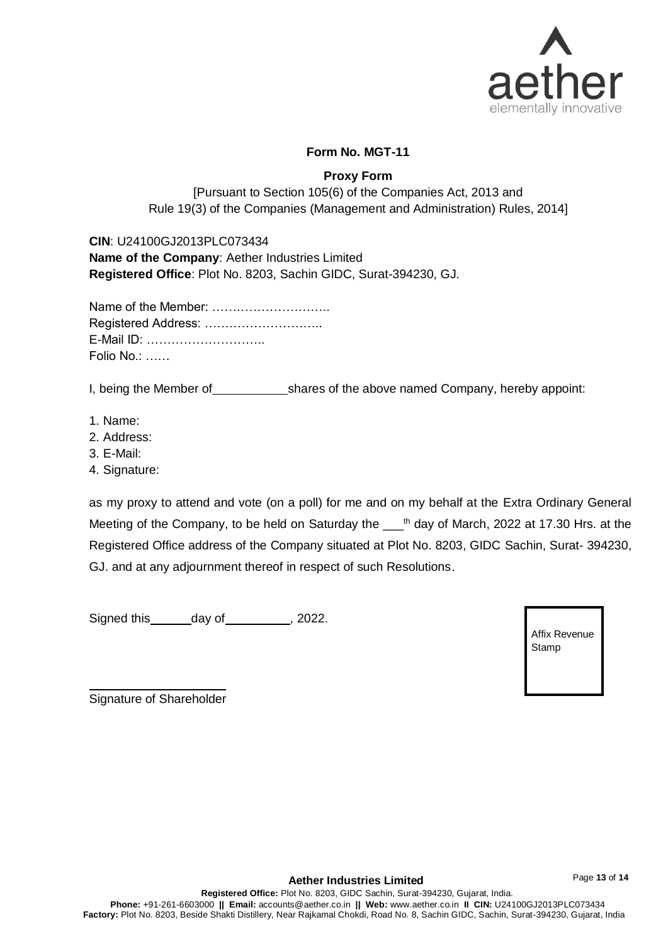

# **Form No. MGT-11**

# **Proxy Form**

[Pursuant to Section 105(6) of the Companies Act, 2013 and Rule 19(3) of the Companies (Management and Administration) Rules, 2014]

**CIN**: U24100GJ2013PLC073434 **Name of the Company**: Aether Industries Limited **Registered Office**: Plot No. 8203, Sachin GIDC, Surat-394230, GJ.

| Name of the Member: |
|---------------------|
| Registered Address: |
| E-Mail ID:          |
| Folio No.:          |

I, being the Member of shares of the above named Company, hereby appoint:

- 1. Name:
- 2. Address:
- 3. E-Mail:
- 4. Signature:

as my proxy to attend and vote (on a poll) for me and on my behalf at the Extra Ordinary General Meeting of the Company, to be held on Saturday the  $\_\!\_\!\!\$ <sup>th</sup> day of March, 2022 at 17.30 Hrs. at the Registered Office address of the Company situated at Plot No. 8203, GIDC Sachin, Surat- 394230, GJ. and at any adjournment thereof in respect of such Resolutions.

Signed this day of , 2022.

| Affix Revenue |  |
|---------------|--|
| Stamp         |  |
|               |  |

Signature of Shareholder